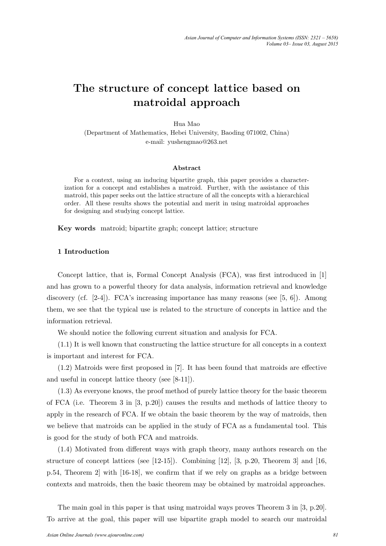# The structure of concept lattice based on matroidal approach

Hua Mao

(Department of Mathematics, Hebei University, Baoding 071002, China) e-mail: yushengmao@263.net

## Abstract

For a context, using an inducing bipartite graph, this paper provides a characterization for a concept and establishes a matroid. Further, with the assistance of this matroid, this paper seeks out the lattice structure of all the concepts with a hierarchical order. All these results shows the potential and merit in using matroidal approaches for designing and studying concept lattice.

Key words matroid; bipartite graph; concept lattice; structure

# 1 Introduction

Concept lattice, that is, Formal Concept Analysis (FCA), was first introduced in [1] and has grown to a powerful theory for data analysis, information retrieval and knowledge discovery (cf.  $[2-4]$ ). FCA's increasing importance has many reasons (see [5, 6]). Among them, we see that the typical use is related to the structure of concepts in lattice and the information retrieval.

We should notice the following current situation and analysis for FCA.

(1.1) It is well known that constructing the lattice structure for all concepts in a context is important and interest for FCA.

(1.2) Matroids were first proposed in [7]. It has been found that matroids are effective and useful in concept lattice theory (see [8-11]).

(1.3) As everyone knows, the proof method of purely lattice theory for the basic theorem of FCA (i.e. Theorem 3 in [3, p.20]) causes the results and methods of lattice theory to apply in the research of FCA. If we obtain the basic theorem by the way of matroids, then we believe that matroids can be applied in the study of FCA as a fundamental tool. This is good for the study of both FCA and matroids.

(1.4) Motivated from different ways with graph theory, many authors research on the structure of concept lattices (see  $[12-15]$ ). Combining  $[12]$ ,  $[3, p.20$ , Theorem 3 and  $[16, p.20]$ p.54, Theorem 2] with [16-18], we confirm that if we rely on graphs as a bridge between contexts and matroids, then the basic theorem may be obtained by matroidal approaches.

The main goal in this paper is that using matroidal ways proves Theorem 3 in [3, p.20]. To arrive at the goal, this paper will use bipartite graph model to search our matroidal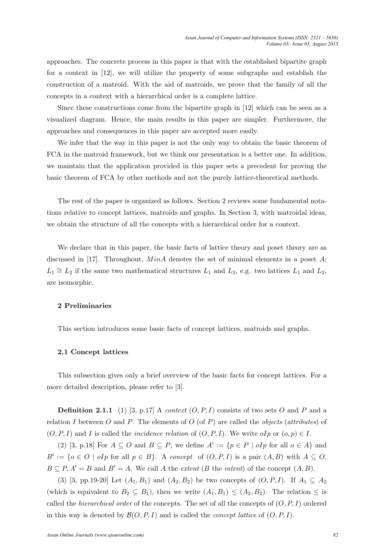approaches. The concrete process in this paper is that with the established bipartite graph for a context in [12], we will utilize the property of some subgraphs and establish the construction of a matroid. With the aid of matroids, we prove that the family of all the concepts in a context with a hierarchical order is a complete lattice.

Since these constructions come from the bipartite graph in [12] which can be seen as a visualized diagram. Hence, the main results in this paper are simpler. Furthermore, the approaches and consequences in this paper are accepted more easily.

We infer that the way in this paper is not the only way to obtain the basic theorem of FCA in the matroid framework, but we think our presentation is a better one. In addition, we maintain that the application provided in this paper sets a precedent for proving the basic theorem of FCA by other methods and not the purely lattice-theoretical methods.

The rest of the paper is organized as follows. Section 2 reviews some fundamental notations relative to concept lattices, matroids and graphs. In Section 3, with matroidal ideas, we obtain the structure of all the concepts with a hierarchical order for a context.

We declare that in this paper, the basic facts of lattice theory and poset theory are as discussed in [17]. Throughout,  $MinA$  denotes the set of minimal elements in a poset A;  $L_1 \cong L_2$  if the same two mathematical structures  $L_1$  and  $L_2$ , e.g. two lattices  $L_1$  and  $L_2$ , are isomorphic.

## 2 Preliminaries

This section introduces some basic facts of concept lattices, matroids and graphs.

#### 2.1 Concept lattices

This subsection gives only a brief overview of the basic facts for concept lattices. For a more detailed description, please refer to [3].

**Definition 2.1.1** (1) [3, p.17] A *context*  $(O, P, I)$  consists of two sets O and P and a relation I between O and P. The elements of O (of P) are called the objects (attributes) of  $(O, P, I)$  and I is called the *incidence relation* of  $(O, P, I)$ . We write  $oIp$  or  $(o, p) \in I$ .

(2) [3, p.18] For  $A \subseteq O$  and  $B \subseteq P$ , we define  $A' := \{p \in P \mid oIp$  for all  $o \in A\}$  and  $B' := \{o \in O \mid oIp$  for all  $p \in B\}$ . A concept of  $(O, P, I)$  is a pair  $(A, B)$  with  $A \subseteq O$ ,  $B \subseteq P, A' = B$  and  $B' = A$ . We call A the *extent* (B the *intent*) of the concept  $(A, B)$ .

(3) [3, pp.19-20] Let  $(A_1, B_1)$  and  $(A_2, B_2)$  be two concepts of  $(O, P, I)$ . If  $A_1 \subseteq A_2$ (which is equivalent to  $B_2 \subseteq B_1$ ), then we write  $(A_1, B_1) \leq (A_2, B_2)$ . The relation  $\leq$  is called the *hierarchical order* of the concepts. The set of all the concepts of  $(O, P, I)$  ordered in this way is denoted by  $\mathcal{B}(O, P, I)$  and is called the *concept lattice* of  $(O, P, I)$ .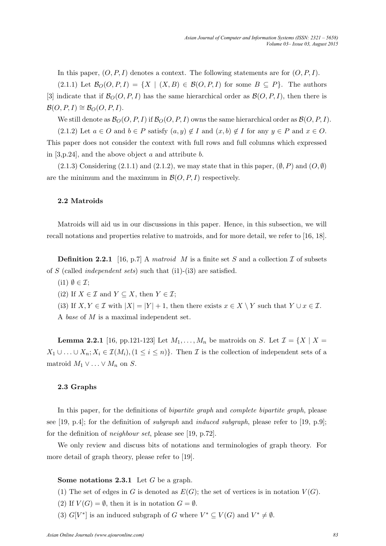In this paper,  $(O, P, I)$  denotes a context. The following statements are for  $(O, P, I)$ . (2.1.1) Let  $\mathcal{B}_O(O, P, I) = \{X \mid (X, B) \in \mathcal{B}(O, P, I) \text{ for some } B \subseteq P\}.$  The authors [3] indicate that if  $\mathcal{B}_O(O, P, I)$  has the same hierarchical order as  $\mathcal{B}(O, P, I)$ , then there is  $\mathcal{B}(O, P, I) \cong \mathcal{B}_O(O, P, I).$ 

We still denote as  $\mathcal{B}_O(O, P, I)$  if  $\mathcal{B}_O(O, P, I)$  owns the same hierarchical order as  $\mathcal{B}(O, P, I)$ .

 $(2.1.2)$  Let  $a \in O$  and  $b \in P$  satisfy  $(a, y) \notin I$  and  $(x, b) \notin I$  for any  $y \in P$  and  $x \in O$ . This paper does not consider the context with full rows and full columns which expressed in [3,p.24], and the above object  $a$  and attribute  $b$ .

 $(2.1.3)$  Considering  $(2.1.1)$  and  $(2.1.2)$ , we may state that in this paper,  $(\emptyset, P)$  and  $(O, \emptyset)$ are the minimum and the maximum in  $\mathcal{B}(O, P, I)$  respectively.

#### 2.2 Matroids

Matroids will aid us in our discussions in this paper. Hence, in this subsection, we will recall notations and properties relative to matroids, and for more detail, we refer to [16, 18].

**Definition 2.2.1** [16, p.7] A matroid M is a finite set S and a collection  $\mathcal{I}$  of subsets of S (called *independent sets*) such that  $(i1)-(i3)$  are satisfied.

(i1)  $\emptyset \in \mathcal{I}$ ;

(i2) If  $X \in \mathcal{I}$  and  $Y \subseteq X$ , then  $Y \in \mathcal{I}$ ;

(i3) If  $X, Y \in \mathcal{I}$  with  $|X| = |Y| + 1$ , then there exists  $x \in X \setminus Y$  such that  $Y \cup x \in \mathcal{I}$ .

A base of M is a maximal independent set.

**Lemma 2.2.1** [16, pp.121-123] Let  $M_1, ..., M_n$  be matroids on S. Let  $\mathcal{I} = \{X \mid X =$  $X_1 \cup \ldots \cup X_n; X_i \in \mathcal{I}(M_i), (1 \leq i \leq n)$ . Then  $\mathcal I$  is the collection of independent sets of a matroid  $M_1 \vee \ldots \vee M_n$  on S.

## 2.3 Graphs

In this paper, for the definitions of *bipartite graph* and *complete bipartite graph*, please see [19, p.4]; for the definition of subgraph and induced subgraph, please refer to [19, p.9]; for the definition of neighbour set, please see [19, p.72].

We only review and discuss bits of notations and terminologies of graph theory. For more detail of graph theory, please refer to [19].

#### **Some notations 2.3.1** Let  $G$  be a graph.

- (1) The set of edges in G is denoted as  $E(G)$ ; the set of vertices is in notation  $V(G)$ .
- (2) If  $V(G) = \emptyset$ , then it is in notation  $G = \emptyset$ .
- (3)  $G[V^*]$  is an induced subgraph of G where  $V^* \subseteq V(G)$  and  $V^* \neq \emptyset$ .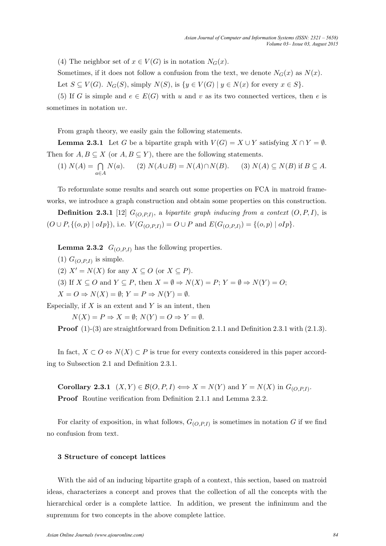(4) The neighbor set of  $x \in V(G)$  is in notation  $N_G(x)$ .

Sometimes, if it does not follow a confusion from the text, we denote  $N_G(x)$  as  $N(x)$ .

Let  $S \subseteq V(G)$ .  $N_G(S)$ , simply  $N(S)$ , is  $\{y \in V(G) \mid y \in N(x) \text{ for every } x \in S\}$ .

(5) If G is simple and  $e \in E(G)$  with u and v as its two connected vertices, then e is sometimes in notation  $uv$ .

From graph theory, we easily gain the following statements.

**Lemma 2.3.1** Let G be a bipartite graph with  $V(G) = X \cup Y$  satisfying  $X \cap Y = \emptyset$ . Then for  $A, B \subseteq X$  (or  $A, B \subseteq Y$ ), there are the following statements.

(1)  $N(A) = \bigcap$ a∈A  $N(a)$ . (2)  $N(A\cup B) = N(A)\cap N(B)$ . (3)  $N(A) \subseteq N(B)$  if  $B \subseteq A$ .

To reformulate some results and search out some properties on FCA in matroid frameworks, we introduce a graph construction and obtain some properties on this construction.

**Definition 2.3.1** [12]  $G_{(O,P,I)}$ , a bipartite graph inducing from a context  $(O, P, I)$ , is  $(O \cup P, \{(o, p) | oIp\}),$  i.e.  $V(G_{(O, P, I)}) = O \cup P$  and  $E(G_{(O, P, I)}) = \{(o, p) | oIp\}.$ 

**Lemma 2.3.2**  $G_{(O,P,I)}$  has the following properties.

- (1)  $G_{(O,P,I)}$  is simple.
- (2)  $X' = N(X)$  for any  $X \subseteq O$  (or  $X \subseteq P$ ).
- (3) If  $X \subseteq O$  and  $Y \subseteq P$ , then  $X = \emptyset \Rightarrow N(X) = P$ ;  $Y = \emptyset \Rightarrow N(Y) = O$ ;

 $X = O \Rightarrow N(X) = \emptyset; Y = P \Rightarrow N(Y) = \emptyset.$ 

Especially, if  $X$  is an extent and  $Y$  is an intent, then

 $N(X) = P \Rightarrow X = \emptyset$ ;  $N(Y) = O \Rightarrow Y = \emptyset$ .

Proof  $(1)-(3)$  are straightforward from Definition 2.1.1 and Definition 2.3.1 with  $(2.1.3)$ .

In fact,  $X \subset O \Leftrightarrow N(X) \subset P$  is true for every contexts considered in this paper according to Subsection 2.1 and Definition 2.3.1.

**Corollary 2.3.1**  $(X, Y) \in \mathcal{B}(O, P, I) \Longleftrightarrow X = N(Y)$  and  $Y = N(X)$  in  $G_{(O, P, I)}$ . Proof Routine verification from Definition 2.1.1 and Lemma 2.3.2.

For clarity of exposition, in what follows,  $G_{(O,P,I)}$  is sometimes in notation G if we find no confusion from text.

# 3 Structure of concept lattices

With the aid of an inducing bipartite graph of a context, this section, based on matroid ideas, characterizes a concept and proves that the collection of all the concepts with the hierarchical order is a complete lattice. In addition, we present the infinimum and the supremum for two concepts in the above complete lattice.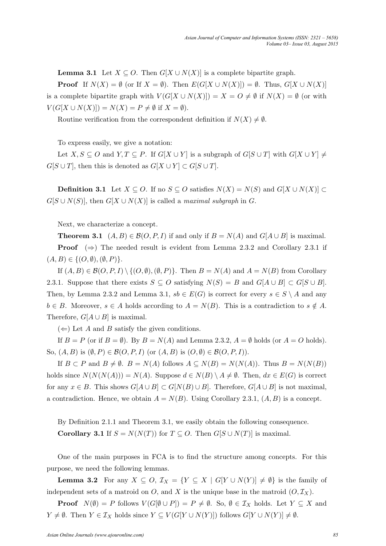**Lemma 3.1** Let  $X \subseteq O$ . Then  $G[X \cup N(X)]$  is a complete bipartite graph.

**Proof** If  $N(X) = \emptyset$  (or If  $X = \emptyset$ ). Then  $E(G[X \cup N(X)]) = \emptyset$ . Thus,  $G[X \cup N(X)]$ is a complete bipartite graph with  $V(G[X \cup N(X)]) = X = O \neq \emptyset$  if  $N(X) = \emptyset$  (or with  $V(G[X \cup N(X)]) = N(X) = P \neq \emptyset$  if  $X = \emptyset$ .

Routine verification from the correspondent definition if  $N(X) \neq \emptyset$ .

To express easily, we give a notation:

Let  $X, S \subseteq O$  and  $Y, T \subseteq P$ . If  $G[X \cup Y]$  is a subgraph of  $G[S \cup T]$  with  $G[X \cup Y] \neq$  $G[S \cup T]$ , then this is denoted as  $G[X \cup Y] \subset G[S \cup T]$ .

**Definition 3.1** Let  $X \subseteq O$ . If no  $S \subseteq O$  satisfies  $N(X) = N(S)$  and  $G[X \cup N(X)] \subset$  $G[S \cup N(S)],$  then  $G[X \cup N(X)]$  is called a *maximal subgraph* in G.

Next, we characterize a concept.

**Theorem 3.1**  $(A, B) \in \mathcal{B}(O, P, I)$  if and only if  $B = N(A)$  and  $G[A \cup B]$  is maximal. **Proof**  $(\Rightarrow)$  The needed result is evident from Lemma 2.3.2 and Corollary 2.3.1 if  $(A, B) \in \{ (O, \emptyset), (\emptyset, P) \}.$ 

If  $(A, B) \in \mathcal{B}(O, P, I) \setminus \{(O, \emptyset), (\emptyset, P)\}.$  Then  $B = N(A)$  and  $A = N(B)$  from Corollary 2.3.1. Suppose that there exists  $S \subseteq O$  satisfying  $N(S) = B$  and  $G[A \cup B] \subset G[S \cup B]$ . Then, by Lemma 2.3.2 and Lemma 3.1,  $sb \in E(G)$  is correct for every  $s \in S \setminus A$  and any  $b \in B$ . Moreover,  $s \in A$  holds according to  $A = N(B)$ . This is a contradiction to  $s \notin A$ . Therefore,  $G[A \cup B]$  is maximal.

 $(\Leftarrow)$  Let A and B satisfy the given conditions.

If  $B = P$  (or if  $B = \emptyset$ ). By  $B = N(A)$  and Lemma 2.3.2,  $A = \emptyset$  holds (or  $A = O$  holds). So,  $(A, B)$  is  $(\emptyset, P) \in \mathcal{B}(O, P, I)$  (or  $(A, B)$  is  $(O, \emptyset) \in \mathcal{B}(O, P, I)$ ).

If  $B \subset P$  and  $B \neq \emptyset$ .  $B = N(A)$  follows  $A \subseteq N(B) = N(N(A))$ . Thus  $B = N(N(B))$ holds since  $N(N(N(A))) = N(A)$ . Suppose  $d \in N(B) \setminus A \neq \emptyset$ . Then,  $dx \in E(G)$  is correct for any  $x \in B$ . This shows  $G[A \cup B] \subset G[N(B) \cup B]$ . Therefore,  $G[A \cup B]$  is not maximal, a contradiction. Hence, we obtain  $A = N(B)$ . Using Corollary 2.3.1,  $(A, B)$  is a concept.

By Definition 2.1.1 and Theorem 3.1, we easily obtain the following consequence. **Corollary 3.1** If  $S = N(N(T))$  for  $T \subseteq O$ . Then  $G[S \cup N(T)]$  is maximal.

One of the main purposes in FCA is to find the structure among concepts. For this purpose, we need the following lemmas.

**Lemma 3.2** For any  $X \subseteq O$ ,  $\mathcal{I}_X = \{Y \subseteq X \mid G|Y \cup N(Y)\}\neq \emptyset\}$  is the family of independent sets of a matroid on O, and X is the unique base in the matroid  $(0, \mathcal{I}_X)$ .

**Proof**  $N(\emptyset) = P$  follows  $V(G[\emptyset \cup P]) = P \neq \emptyset$ . So,  $\emptyset \in \mathcal{I}_X$  holds. Let  $Y \subseteq X$  and  $Y \neq \emptyset$ . Then  $Y \in \mathcal{I}_X$  holds since  $Y \subseteq V(G[Y \cup N(Y)])$  follows  $G[Y \cup N(Y)] \neq \emptyset$ .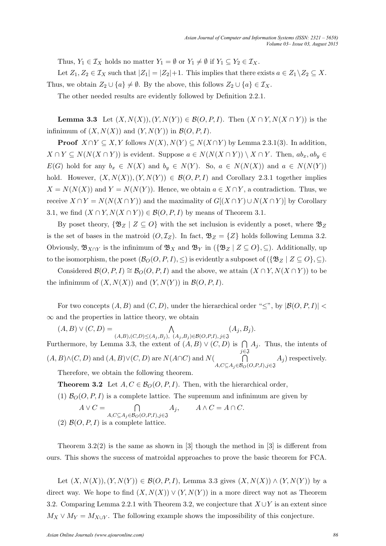Thus,  $Y_1 \in \mathcal{I}_X$  holds no matter  $Y_1 = \emptyset$  or  $Y_1 \neq \emptyset$  if  $Y_1 \subseteq Y_2 \in \mathcal{I}_X$ .

Let  $Z_1, Z_2 \in \mathcal{I}_X$  such that  $|Z_1| = |Z_2| + 1$ . This implies that there exists  $a \in Z_1 \setminus Z_2 \subseteq X$ . Thus, we obtain  $Z_2 \cup \{a\} \neq \emptyset$ . By the above, this follows  $Z_2 \cup \{a\} \in \mathcal{I}_X$ .

The other needed results are evidently followed by Definition 2.2.1.

**Lemma 3.3** Let  $(X, N(X)), (Y, N(Y)) \in \mathcal{B}(O, P, I)$ . Then  $(X \cap Y, N(X \cap Y))$  is the infinimum of  $(X, N(X))$  and  $(Y, N(Y))$  in  $\mathcal{B}(O, P, I)$ .

**Proof**  $X \cap Y \subseteq X, Y$  follows  $N(X), N(Y) \subseteq N(X \cap Y)$  by Lemma 2.3.1(3). In addition,  $X \cap Y \subseteq N(N(X \cap Y))$  is evident. Suppose  $a \in N(N(X \cap Y)) \setminus X \cap Y$ . Then,  $ab_x, ab_y \in Y$  $E(G)$  hold for any  $b_x \in N(X)$  and  $b_y \in N(Y)$ . So,  $a \in N(N(X))$  and  $a \in N(N(Y))$ hold. However,  $(X, N(X)), (Y, N(Y)) \in \mathcal{B}(O, P, I)$  and Corollary 2.3.1 together implies  $X = N(N(X))$  and  $Y = N(N(Y))$ . Hence, we obtain  $a \in X \cap Y$ , a contradiction. Thus, we receive  $X \cap Y = N(N(X \cap Y))$  and the maximality of  $G[(X \cap Y) \cup N(X \cap Y)]$  by Corollary 3.1, we find  $(X \cap Y, N(X \cap Y)) \in \mathcal{B}(O, P, I)$  by means of Theorem 3.1.

By poset theory,  $\{\mathfrak{B}_Z \mid Z \subseteq O\}$  with the set inclusion is evidently a poset, where  $\mathfrak{B}_Z$ is the set of bases in the matroid  $(O, \mathcal{I}_Z)$ . In fact,  $\mathfrak{B}_Z = \{Z\}$  holds following Lemma 3.2. Obviously,  $\mathfrak{B}_{X\cap Y}$  is the infinimum of  $\mathfrak{B}_X$  and  $\mathfrak{B}_Y$  in  $(\{\mathfrak{B}_Z \mid Z \subseteq O\}, \subseteq)$ . Additionally, up to the isomorphism, the poset  $(\mathcal{B}_O(O, P, I), \leq)$  is evidently a subposet of  $(\{\mathfrak{B}_Z \mid Z \subseteq O\}, \subseteq)$ .

Considered  $\mathcal{B}(O, P, I) \cong \mathcal{B}_O(O, P, I)$  and the above, we attain  $(X \cap Y, N(X \cap Y))$  to be the infinimum of  $(X, N(X))$  and  $(Y, N(Y))$  in  $\mathcal{B}(O, P, I)$ .

For two concepts  $(A, B)$  and  $(C, D)$ , under the hierarchical order " $\leq$ ", by  $|\mathcal{B}(O, P, I)|$  $\infty$  and the properties in lattice theory, we obtain

 $(A, B) \vee (C, D) =$  $(A,B), (C,D) \leq (A_j, B_j), (A_j, B_j) \in \mathcal{B}(O,P,I), j \in \mathfrak{J}$  $(A_j, B_j).$ Furthermore, by Lemma 3.3, the extent of  $(A, B) \vee (C, D)$  is  $\bigcap$ j∈J  $A_j$ . Thus, the intents of  $(A, B) \wedge (C, D)$  and  $(A, B) \vee (C, D)$  are  $N(A \cap C)$  and  $N(A)$  $\sum_{i=1}^{n}$  $A, C \subseteq A_j \in \mathcal{B}_O(O, P, I), j \in \mathfrak{J}$  $A_j$ ) respectively.

Therefore, we obtain the following theorem.

**Theorem 3.2** Let  $A, C \in \mathcal{B}_O(O, P, I)$ . Then, with the hierarchical order,

(1)  $\mathcal{B}_O(O, P, I)$  is a complete lattice. The supremum and infinimum are given by

 $A \vee C =$  $\overline{a}$  $A, C \subseteq A_j \in \mathcal{B}_O(O, P, I), j \in \mathfrak{J}$  $A_j, \qquad A \wedge C = A \cap C.$ 

(2)  $\mathcal{B}(O, P, I)$  is a complete lattice.

Theorem  $3.2(2)$  is the same as shown in [3] though the method in [3] is different from ours. This shows the success of matroidal approaches to prove the basic theorem for FCA.

Let  $(X, N(X)), (Y, N(Y)) \in \mathcal{B}(O, P, I)$ , Lemma 3.3 gives  $(X, N(X)) \wedge (Y, N(Y))$  by a direct way. We hope to find  $(X, N(X)) \vee (Y, N(Y))$  in a more direct way not as Theorem 3.2. Comparing Lemma 2.2.1 with Theorem 3.2, we conjecture that  $X \cup Y$  is an extent since  $M_X \vee M_Y = M_{X \cup Y}$ . The following example shows the impossibility of this conjecture.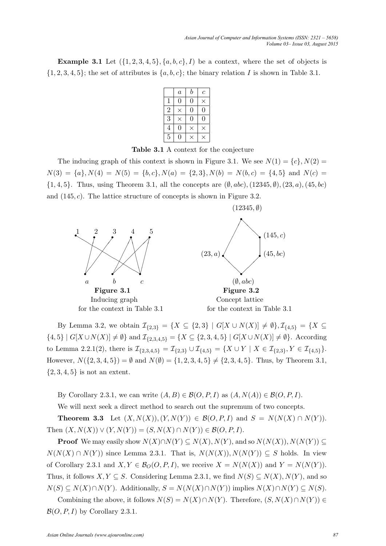$(12345, \emptyset)$ 

**Example 3.1** Let  $(\{1, 2, 3, 4, 5\}, \{a, b, c\}, I)$  be a context, where the set of objects is  $\{1, 2, 3, 4, 5\}$ ; the set of attributes is  $\{a, b, c\}$ ; the binary relation I is shown in Table 3.1.

|                | $\it a$ | b | с |
|----------------|---------|---|---|
|                | 0       | 0 | × |
| $\overline{2}$ | ×       | 0 | 0 |
| 3              | ×       | 0 | 0 |
| 4              | 0       |   | × |
| 5              | 0       |   | × |

Table 3.1 A context for the conjecture

The inducing graph of this context is shown in Figure 3.1. We see  $N(1) = \{c\}, N(2) =$  $N(3) = \{a\}, N(4) = N(5) = \{b, c\}, N(a) = \{2, 3\}, N(b) = N(b, c) = \{4, 5\}$  and  $N(c) =$  $\{1, 4, 5\}$ . Thus, using Theorem 3.1, all the concepts are  $(\emptyset, abc), (12345, \emptyset), (23, a), (45, bc)$ and  $(145, c)$ . The lattice structure of concepts is shown in Figure 3.2.



By Lemma 3.2, we obtain  $\mathcal{I}_{\{2,3\}} = \{X \subseteq \{2,3\} \mid G[X \cup N(X)] \neq \emptyset\}, \mathcal{I}_{\{4,5\}} = \{X \subseteq$  $\{4,5\}$  |  $G[X \cup N(X)] \neq \emptyset$ } and  $\mathcal{I}_{\{2,3,4,5\}} = \{X \subseteq \{2,3,4,5\} | G[X \cup N(X)] \neq \emptyset\}$ . According to Lemma 2.2.1(2), there is  $\mathcal{I}_{\{2,3,4,5\}} = \mathcal{I}_{\{2,3\}} \cup \mathcal{I}_{\{4,5\}} = \{ X \cup Y \mid X \in \mathcal{I}_{\{2,3\}}, Y \in \mathcal{I}_{\{4,5\}} \}.$ However,  $N({2, 3, 4, 5}) = \emptyset$  and  $N(\emptyset) = {1, 2, 3, 4, 5} \neq {2, 3, 4, 5}$ . Thus, by Theorem 3.1,  $\{2, 3, 4, 5\}$  is not an extent.

By Corollary 2.3.1, we can write  $(A, B) \in \mathcal{B}(O, P, I)$  as  $(A, N(A)) \in \mathcal{B}(O, P, I)$ .

We will next seek a direct method to search out the supremum of two concepts.

**Theorem 3.3** Let  $(X, N(X)), (Y, N(Y)) \in \mathcal{B}(O, P, I)$  and  $S = N(N(X) \cap N(Y)).$ Then  $(X, N(X)) \vee (Y, N(Y)) = (S, N(X) \cap N(Y)) \in \mathcal{B}(O, P, I).$ 

**Proof** We may easily show  $N(X) \cap N(Y) \subseteq N(X)$ ,  $N(Y)$ , and so  $N(N(X))$ ,  $N(N(Y)) \subseteq$  $N(N(X) \cap N(Y))$  since Lemma 2.3.1. That is,  $N(N(X)), N(N(Y)) \subseteq S$  holds. In view of Corollary 2.3.1 and  $X, Y \in \mathcal{B}_O(O, P, I)$ , we receive  $X = N(N(X))$  and  $Y = N(N(Y))$ . Thus, it follows  $X, Y \subseteq S$ . Considering Lemma 2.3.1, we find  $N(S) \subseteq N(X), N(Y)$ , and so  $N(S) \subseteq N(X) \cap N(Y)$ . Additionally,  $S = N(N(X) \cap N(Y))$  implies  $N(X) \cap N(Y) \subseteq N(S)$ .

Combining the above, it follows  $N(S) = N(X) \cap N(Y)$ . Therefore,  $(S, N(X) \cap N(Y)) \in$  $\mathcal{B}(O, P, I)$  by Corollary 2.3.1.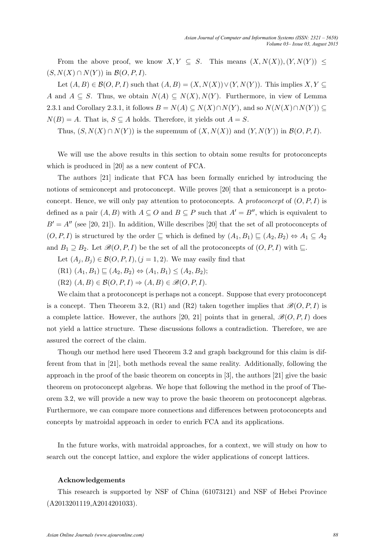From the above proof, we know  $X, Y \subseteq S$ . This means  $(X, N(X)), (Y, N(Y)) \leq$  $(S, N(X) \cap N(Y))$  in  $\mathcal{B}(O, P, I)$ .

Let  $(A, B) \in \mathcal{B}(O, P, I)$  such that  $(A, B) = (X, N(X)) \vee (Y, N(Y))$ . This implies  $X, Y \subseteq$ A and  $A \subseteq S$ . Thus, we obtain  $N(A) \subseteq N(X)$ ,  $N(Y)$ . Furthermore, in view of Lemma 2.3.1 and Corollary 2.3.1, it follows  $B = N(A) \subseteq N(X) \cap N(Y)$ , and so  $N(N(X) \cap N(Y)) \subseteq$  $N(B) = A$ . That is,  $S \subseteq A$  holds. Therefore, it yields out  $A = S$ .

Thus,  $(S, N(X) \cap N(Y))$  is the supremum of  $(X, N(X))$  and  $(Y, N(Y))$  in  $\mathcal{B}(O, P, I)$ .

We will use the above results in this section to obtain some results for protoconcepts which is produced in [20] as a new content of FCA.

The authors [21] indicate that FCA has been formally enriched by introducing the notions of semiconcept and protoconcept. Wille proves [20] that a semiconcept is a protoconcept. Hence, we will only pay attention to protoconcepts. A protoconcept of  $(O, P, I)$  is defined as a pair  $(A, B)$  with  $A \subseteq O$  and  $B \subseteq P$  such that  $A' = B''$ , which is equivalent to  $B' = A''$  (see [20, 21]). In addition, Wille describes [20] that the set of all protoconcepts of  $(O, P, I)$  is structured by the order  $\subseteq$  which is defined by  $(A_1, B_1) \subseteq (A_2, B_2) \Leftrightarrow A_1 \subseteq A_2$ and  $B_1 \supseteq B_2$ . Let  $\mathscr{B}(O, P, I)$  be the set of all the protoconcepts of  $(O, P, I)$  with  $\sqsubseteq$ .

- Let  $(A_i, B_i) \in \mathcal{B}(O, P, I), (j = 1, 2)$ . We may easily find that
- $(R1)$   $(A_1, B_1) \sqsubseteq (A_2, B_2) \Leftrightarrow (A_1, B_1) \leq (A_2, B_2);$
- $(R2)$   $(A, B) \in \mathcal{B}(O, P, I) \Rightarrow (A, B) \in \mathcal{B}(O, P, I).$

We claim that a protoconcept is perhaps not a concept. Suppose that every protoconcept is a concept. Then Theorem 3.2, (R1) and (R2) taken together implies that  $\mathcal{B}(O, P, I)$  is a complete lattice. However, the authors [20, 21] points that in general,  $\mathscr{B}(O, P, I)$  does not yield a lattice structure. These discussions follows a contradiction. Therefore, we are assured the correct of the claim.

Though our method here used Theorem 3.2 and graph background for this claim is different from that in [21], both methods reveal the same reality. Additionally, following the approach in the proof of the basic theorem on concepts in [3], the authors [21] give the basic theorem on protoconcept algebras. We hope that following the method in the proof of Theorem 3.2, we will provide a new way to prove the basic theorem on protoconcept algebras. Furthermore, we can compare more connections and differences between protoconcepts and concepts by matroidal approach in order to enrich FCA and its applications.

In the future works, with matroidal approaches, for a context, we will study on how to search out the concept lattice, and explore the wider applications of concept lattices.

#### Acknowledgements

This research is supported by NSF of China (61073121) and NSF of Hebei Province (A2013201119,A2014201033).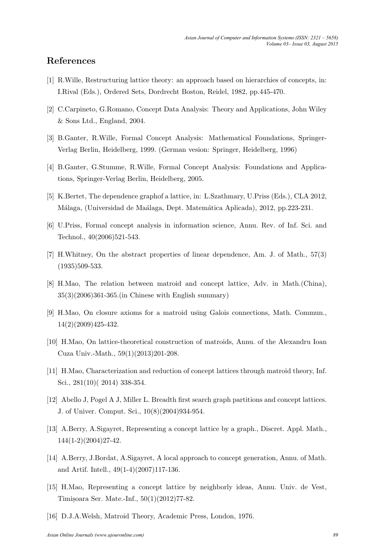# References

- [1] R.Wille, Restructuring lattice theory: an approach based on hierarchies of concepts, in: I.Rival (Eds.), Ordered Sets, Dordrecht Boston, Reidel, 1982, pp.445-470.
- [2] C.Carpineto, G.Romano, Concept Data Analysis: Theory and Applications, John Wiley & Sons Ltd., England, 2004.
- [3] B.Ganter, R.Wille, Formal Concept Analysis: Mathematical Foundations, Springer-Verlag Berlin, Heidelberg, 1999. (German vesion: Springer, Heidelberg, 1996)
- [4] B.Ganter, G.Stumme, R.Wille, Formal Concept Analysis: Foundations and Applications, Springer-Verlag Berlin, Heidelberg, 2005.
- [5] K.Bertet, The dependence graphof a lattice, in: L.Szathmary, U.Priss (Eds.), CLA 2012, Málaga, (Universidad de Maálaga, Dept. Matemática Aplicada), 2012, pp.223-231.
- [6] U.Priss, Formal concept analysis in information science, Annu. Rev. of Inf. Sci. and Technol., 40(2006)521-543.
- [7] H.Whitney, On the abstract properties of linear dependence, Am. J. of Math., 57(3) (1935)509-533.
- [8] H.Mao, The relation between matroid and concept lattice, Adv. in Math.(China), 35(3)(2006)361-365.(in Chinese with English summary)
- [9] H.Mao, On closure axioms for a matroid using Galois connections, Math. Commun., 14(2)(2009)425-432.
- [10] H.Mao, On lattice-theoretical construction of matroids, Annu. of the Alexandru Ioan Cuza Univ.-Math., 59(1)(2013)201-208.
- [11] H.Mao, Characterization and reduction of concept lattices through matroid theory, Inf. Sci., 281(10)( 2014) 338-354.
- [12] Abello J, Pogel A J, Miller L. Breadth first search graph partitions and concept lattices. J. of Univer. Comput. Sci., 10(8)(2004)934-954.
- [13] A.Berry, A.Sigayret, Representing a concept lattice by a graph., Discret. Appl. Math., 144(1-2)(2004)27-42.
- [14] A.Berry, J.Bordat, A.Sigayret, A local approach to concept generation, Annu. of Math. and Artif. Intell., 49(1-4)(2007)117-136.
- [15] H.Mao, Representing a concept lattice by neighborly ideas, Annu. Univ. de Vest, Timișoara Ser. Mate.-Inf.,  $50(1)(2012)77-82$ .
- [16] D.J.A.Welsh, Matroid Theory, Academic Press, London, 1976.